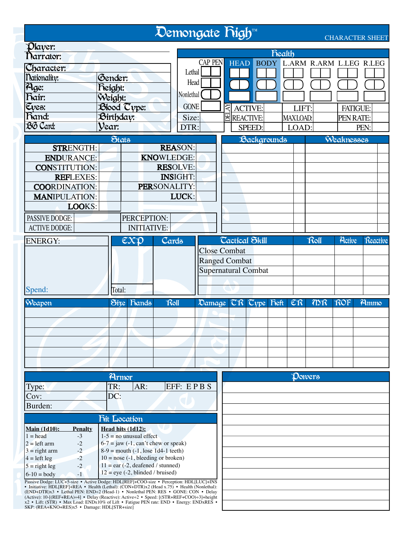|                                                                                                                                |                                                                                                                                                                                                                                                                                                                                                                                                                                                                                           |                                                                                    |                                                                                                                                                                                                                                                                  |       | Demongate Righ <sup>TM</sup>                                                                                                             |                                                                           |                          |                                                                              |                                             |        |                         | <b>CHARACTER SHEET</b>  |  |
|--------------------------------------------------------------------------------------------------------------------------------|-------------------------------------------------------------------------------------------------------------------------------------------------------------------------------------------------------------------------------------------------------------------------------------------------------------------------------------------------------------------------------------------------------------------------------------------------------------------------------------------|------------------------------------------------------------------------------------|------------------------------------------------------------------------------------------------------------------------------------------------------------------------------------------------------------------------------------------------------------------|-------|------------------------------------------------------------------------------------------------------------------------------------------|---------------------------------------------------------------------------|--------------------------|------------------------------------------------------------------------------|---------------------------------------------|--------|-------------------------|-------------------------|--|
| Player:<br>Narrator:<br>Character:<br>Mationality:<br>Age:<br>hair:<br>Eyes:<br>hand:<br>BG Card:                              | STRENGTH:<br><b>ENDURANCE:</b><br><b>CONSTITUTION:</b><br><b>REFLEXES:</b>                                                                                                                                                                                                                                                                                                                                                                                                                | Gender:<br><b>Reight:</b><br>Weight:<br>Blood Cype:<br>Birthday:<br>Vear:<br>Stats |                                                                                                                                                                                                                                                                  |       | Lethal<br>Head<br>Nonlethal<br><b>GONE</b><br>Size:<br>DTR:<br><b>REASON:</b><br><b>KNOWLEDGE:</b><br><b>RESOLVE:</b><br><b>INSIGHT:</b> | <b>CAP PEN</b>                                                            | KA<br><b>E</b> REACTIVE: | HEAD BODY L.ARM R.ARM L.LEG R.LEG<br><b>ACTIVE:</b><br>SPEED:<br>Backgrounds | <b>Realth</b><br>LIFT:<br>MAXLOAD:<br>LOAD: |        | PEN RATE:<br>Weaknesses | <b>FATIGUE:</b><br>PEN: |  |
| <b>PASSIVE DODGE:</b><br><b>ACTIVE DODGE:</b><br><b>ENERGY:</b>                                                                | <b>COORDINATION:</b><br><b>MANIPULATION:</b><br>LOOKS:                                                                                                                                                                                                                                                                                                                                                                                                                                    |                                                                                    | PERCEPTION:<br><b>INITIATIVE:</b><br>$\overline{\mathcal{C}}\mathcal{X}\mathcal{D}$                                                                                                                                                                              | Cards | PERSONALITY:<br>LUCK:                                                                                                                    |                                                                           | <b>Cactical Skill</b>    |                                                                              |                                             | Roll   | Active                  | Reactive                |  |
| Spend:<br>Weapon                                                                                                               |                                                                                                                                                                                                                                                                                                                                                                                                                                                                                           | Total:                                                                             | Size hands                                                                                                                                                                                                                                                       | Roll  |                                                                                                                                          | <b>Close Combat</b><br><b>Ranged Combat</b><br><b>Supernatural Combat</b> |                          | Damage CR Cype Fieft ER                                                      |                                             | mR     | ROF                     | Ammo                    |  |
| Type:<br>Cov:<br>Burden:                                                                                                       |                                                                                                                                                                                                                                                                                                                                                                                                                                                                                           | Armor<br>TR:<br>DC:                                                                | AR:                                                                                                                                                                                                                                                              |       | EFF: EPBS                                                                                                                                |                                                                           |                          |                                                                              |                                             | Dowers |                         |                         |  |
| <b>Main (1d10):</b><br>$1 = head$<br>$2 = left arm$<br>$3 =$ right arm<br>$4 = left leg$<br>$5 =$ right leg<br>$6 - 10 = body$ | <b>Penalty</b><br>$-3$<br>$-2$<br>$-2$<br>$-2$<br>$-2$<br>$-1$<br>Passive Dodge: LUC+5-size • Active Dodge: HDL[REF]+COO-size • Perception: HDL[LUC]+INS<br>• Initiative: HDL[REF]+REA • Health (Lethal): (CON+DTR)x2 (Head x.75) • Health (Nonlethal):<br>(END+DTR)x3 • Lethal PEN: END÷2 (Head-1) • Nonlethal PEN: RES • GONE: CON • Delay<br>$A$ ative): $10$ $\angle (BEE, BEA) \cdot A$ $\bullet$ $Delay (Bogotiv)$ : $Aotiv$ $\cdot 2 \bullet$ $Smod$ : $[(STB, BEE, COO) \cdot 2]$ | <b>Fit Location</b><br>Head hits (1d12):                                           | $1-5$ = no unusual effect<br>$6-7 =$ jaw $(-1, \text{ can't chew or speak})$<br>$8-9 =$ mouth $(-1)$ , lose 1d4-1 teeth)<br>$10 =$ nose (-1, bleeding or broken)<br>$11 = \text{ear} (-2, \text{deafened}/\text{stunnel})$<br>$12 = eye (-2, blinded / bruised)$ |       |                                                                                                                                          |                                                                           |                          |                                                                              |                                             |        |                         |                         |  |

(END+DTR)x3 • Lethal PEN: END÷2 (Head-1) • Nonlethal PEN: RES • GONE: CON • Delay<br>(Active): 10-[(REF+REA)÷4] • Delay (Reactive): Active÷2 • Speed: [(STR+REF+COO)÷3]+height<br>x2 • Lift: (STR) • Max Load: ENDx10% of Lift • Fa